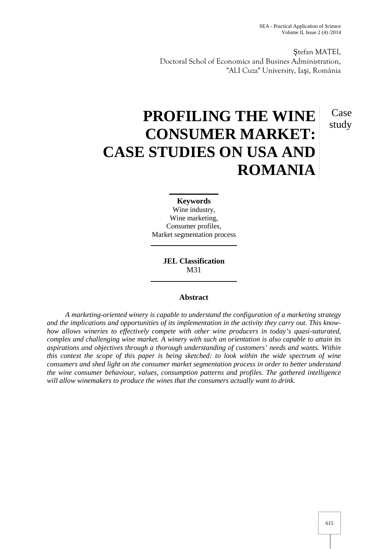Case study

tefan MATEI, Doctoral Schol of Economics and Busines Administration, "Al.I Cuza" University, Ia i, România

# **PROFILING THE WINE CONSUMER MARKET: CASE STUDIES ON USA AND ROMANIA**

#### **Keywords**

Wine industry, Wine marketing, Consumer profiles, Market segmentation process

> **JEL Classification** M31

# **Abstract**

*A marketing-oriented winery is capable to understand the configuration of a marketing strategy and the implications and opportunities of its implementation in the activity they carry out. This know how allows wineries to effectively compete with other wine producers in today's quasi-saturated, complex and challenging wine market. A winery with such an orientation is also capable to attain its aspirations and objectives through a thorough understanding of customers' needs and wants. Within this context the scope of this paper is being sketched: to look within the wide spectrum of wine consumers and shed light on the consumer market segmentation process in order to better understand the wine consumer behaviour, values, consumption patterns and profiles. The gathered intelligence will allow winemakers to produce the wines that the consumers actually want to drink.*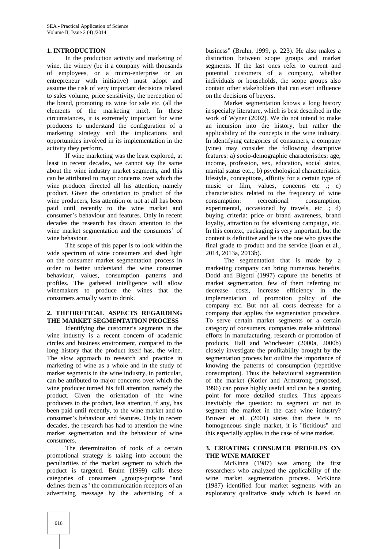## **1. INTRODUCTION**

In the production activity and marketing of wine, the winery (be it a company with thousands of employees, or a micro-enterprise or an entrepreneur with initiative) must adopt and assume the risk of very important decisions related to sales volume, price sensitivity, the perception of the brand, promoting its wine for sale etc. (all the elements of the marketing mix). In these circumstances, it is extremely important for wine producers to understand the configuration of a marketing strategy and the implications and opportunities involved in its implementation in the activity they perform.

If wine marketing was the least explored, at least in recent decades, we cannot say the same about the wine industry market segments, and this can be attributed to major concerns over which the wine producer directed all his attention, namely product. Given the orientation to product of the wine producers, less attention or not at all has been consumption: paid until recently to the wine market and consumer's behaviour and features. Only in recent decades the research has drawn attention to the wine market segmentation and the consumers' of wine behaviour.

The scope of this paper is to look within the wide spectrum of wine consumers and shed light on the consumer market segmentation process in order to better understand the wine consumer behaviour, values, consumption patterns and profiles. The gathered intelligence will allow winemakers to produce the wines that the consumers actually want to drink.

## **2. THEORETICAL ASPECTS REGARDING THE MARKET SEGMENTATION PROCESS**

Identifying the customer's segments in the wine industry is a recent concern of academic circles and business environment, compared to the long history that the product itself has, the wine. The slow approach to research and practice in marketing of wine as a whole and in the study of market segments in the wine industry, in particular, can be attributed to major concerns over which the wine producer turned his full attention, namely the product. Given the orientation of the wine producers to the product, less attention, if any, has been paid until recently, to the wine market and to consumer's behaviour and features. Only in recent decades, the research has had to attention the wine market segmentation and the behaviour of wine consumers.

The determination of tools of a certain promotional strategy is taking into account the peculiarities of the market segment to which the product is targeted. Bruhn (1999) calls these categories of consumers "groups-purpose "and defines them as" the communication receptors of an advertising message by the advertising of a

business" (Bruhn, 1999, p. 223). He also makes a distinction between scope groups and market segments. If the last ones refer to current and potential customers of a company, whether individuals or households, the scope groups also contain other stakeholders that can exert influence on the decisions of buyers.

Market segmentation knows a long history in specialty literature, which is best described in the work of Wyner (2002). We do not intend to make an incursion into the history, but rather the applicability of the concepts in the wine industry. In identifying categories of consumers, a company (vine) may consider the following descriptive features: a) socio-demographic characteristics: age, income, profession, sex, education, social status, marital status etc..; b) psychological characteristics: lifestyle, conceptions, affinity for a certain type of music or film, values, concerns etc  $\cdot$ ; c) characteristics related to the frequency of wine consumption: recreational consumption, experimental, occasioned by travels, etc.; d) buying criteria: price or brand awareness, brand loyalty, attraction to the advertising campaign, etc. In this context, packaging is very important, but the content is definitive and he is the one who gives the final grade to product and the service (Ioan et al., 2014, 2013a, 2013b).

The segmentation that is made by a marketing company can bring numerous benefits. Dodd and Bigotti (1997) capture the benefits of market segmentation, few of them referring to: decrease costs, increase efficiency in the implementation of promotion policy of the company etc. But not all costs decrease for a company that applies the segmentation procedure. To serve certain market segments or a certain category of consumers, companies make additional efforts in manufacturing, research or promotion of products. Hall and Winchester (2000a, 2000b) closely investigate the profitability brought by the segmentation process but outline the importance of knowing the patterns of consumption (repetitive consumption). Thus the behavioural segmentation of the market (Kotler and Armstrong proposed, 1996) can prove highly useful and can be a starting point for more detailed studies. Thus appears inevitably the question: to segment or not to segment the market in the case wine industry? Bruwer et al. (2001) states that there is no homogeneous single market, it is "fictitious" and this especially applies in the case of wine market.

## **3. CREATING CONSUMER PROFILES ON THE WINE MARKET**

McKinna (1987) was among the first researchers who analyzed the applicability of the wine market segmentation process. McKinna (1987) identified four market segments with an exploratory qualitative study which is based on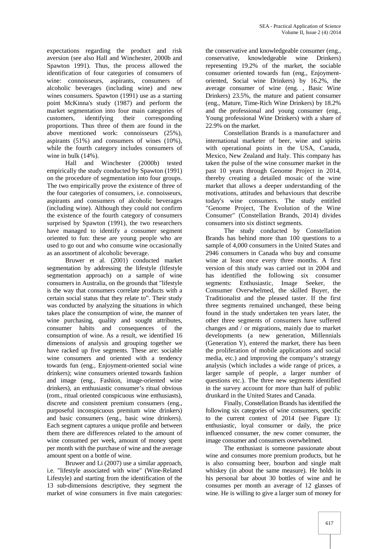expectations regarding the product and risk aversion (see also Hall and Winchester, 2000b and Spawton 1991). Thus, the process allowed the identification of four categories of consumers of wine: connoisseurs, aspirants, consumers of alcoholic beverages (including wine) and new wines consumers. Spawton (1991) use as a starting point McKinna's study (1987) and perform the market segmentation into four main categories of customers, identifying their corresponding proportions. Thus three of them are found in the above mentioned work: connoisseurs (25%), aspirants (51%) and consumers of wines (10%), while the fourth category includes consumers of wine in bulk (14%).

Hall and Winchester (2000b) tested empirically the study conducted by Spawton (1991) on the procedure of segmentation into four groups. The two empirically prove the existence of three of the four categories of consumers, i.e. connoisseurs, aspirants and consumers of alcoholic beverages (including wine). Although they could not confirm the existence of the fourth category of consumers surprised by Spawton (1991), the two researchers have managed to identify a consumer segment oriented to fun: these are young people who are used to go out and who consume wine occasionally as an assortment of alcoholic beverage.

Bruwer et al. (2001) conducted market segmentation by addressing the lifestyle (lifestyle segmentation approach) on a sample of wine consumers in Australia, on the grounds that "lifestyle is the way that consumers correlate products with a certain social status that they relate to". Their study was conducted by analyzing the situations in which takes place the consumption of wine, the manner of wine purchasing, quality and sought attributes, consumer habits and consequences of the consumption of wine. As a result, we identified 16 dimensions of analysis and grouping together we have racked up five segments. These are: sociable wine consumers and oriented with a tendency towards fun (eng., Enjoyment-oriented social wine drinkers); wine consumers oriented towards fashion and image (eng., Fashion, image-oriented wine drinkers), an enthusiastic consumer's ritual obvious (rom., ritual oriented conspicuous wine enthusiasts), discrete and consistent premium consumers (eng., purposeful inconspicuous premium wine drinkers) and basic consumers (eng., basic wine drinkers). Each segment captures a unique profile and between them there are differences related to the amount of wine consumed per week, amount of money spent per month with the purchase of wine and the average amount spent on a bottle of wine.

Bruwer and Li (2007) use a similar approach, i.e. "lifestyle associated with wine" (Wine-Related Lifestyle) and starting from the identification of the 13 sub-dimensions descriptive, they segment the market of wine consumers in five main categories:

the conservative and knowledgeable consumer (eng., conservative, knowledgeable wine Drinkers) representing 19.2% of the market, the sociable consumer oriented towards fun (eng., Enjoyment oriented, Social wine Drinkers) by 16.2%, the average consumer of wine (eng. , Basic Wine Drinkers) 23.5%, the mature and patient consumer (eng., Mature, Time-Rich Wine Drinkers) by 18.2% and the professional and young consumer (eng., Young professional Wine Drinkers) with a share of 22.9% on the market.

Constellation Brands is a manufacturer and international marketer of beer, wine and spirits with operational points in the USA, Canada, Mexico, New Zealand and Italy. This company has taken the pulse of the wine consumer market in the past 10 years through Genome Project in 2014, thereby creating a detailed mosaic of the wine market that allows a deeper understanding of the motivations, attitudes and behaviours that describe today's wine consumers. The study entitled "Genome Project, The Evolution of the Wine Consumer" (Constellation Brands, 2014) divides consumers into six distinct segments.

The study conducted by Constellation Brands has behind more than 100 questions to a sample of 4,000 consumers in the United States and 2946 consumers in Canada who buy and consume wine at least once every three months. A first version of this study was carried out in 2004 and has identified the following six consumer segments: Enthusiastic, Image Seeker, the Consumer Overwhelmed, the skilled Buyer, the Traditionalist and the pleased taster. If the first three segments remained unchanged, these being found in the study undertaken ten years later, the other three segments of consumers have suffered changes and / or migrations, mainly due to market developments (a new generation, Millennials (Generation Y), entered the market, there has been the proliferation of mobile applications and social media, etc.) and improving the company's strategy analysis (which includes a wide range of prices, a larger sample of people, a larger number of questions etc.). The three new segments identified in the survey account for more than half of public drunkard in the United States and Canada.

Finally, Constellation Brands has identified the following six categories of wine consumers, specific to the current context of 2014 (see Figure 1): enthusiastic, loyal consumer or daily, the price influenced consumer, the new comer consumer, the image consumer and consumers overwhelmed.

The enthusiast is someone passionate about wine and consumes more premium products, but he is also consuming beer, bourbon and single malt whiskey (in about the same measure). He holds in his personal bar about 30 bottles of wine and he consumes per month an average of 12 glasses of wine. He is willing to give a larger sum of money for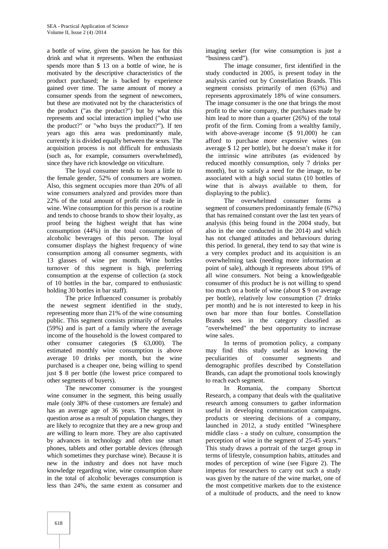a bottle of wine, given the passion he has for this drink and what it represents. When the enthusiast spends more than \$ 13 on a bottle of wine, he is motivated by the descriptive characteristics of the product purchased; he is backed by experience gained over time. The same amount of money a consumer spends from the segment of newcomers, but these are motivated not by the characteristics of the product ("as the product?") but by what this represents and social interaction implied ("who use the product?" or "who buys the product?"). If ten years ago this area was predominantly male, currently it is divided equally between the sexes. The acquisition process is not difficult for enthusiasts (such as, for example, consumers overwhelmed), since they have rich knowledge on viticulture.

The loyal consumer tends to lean a little to the female gender, 52% of consumers are women. Also, this segment occupies more than 20% of all wine consumers analyzed and provides more than 22% of the total amount of profit rise of trade in wine. Wine consumption for this person is a routine and tends to choose brands to show their loyalty, as proof being the highest weight that has wine consumption (44%) in the total consumption of alcoholic beverages of this person. The loyal consumer displays the highest frequency of wine consumption among all consumer segments, with 13 glasses of wine per month. Wine bottles turnover of this segment is high, preferring consumption at the expense of collection (a stock of 10 bottles in the bar, compared to enthusiastic holding 30 bottles in bar staff).

The price Influenced consumer is probably the newest segment identified in the study, representing more than 21% of the wine consuming public. This segment consists primarily of females (59%) and is part of a family where the average income of the household is the lowest compared to other consumer categories (\$ 63,000). The estimated monthly wine consumption is above average 10 drinks per month, but the wine purchased is a cheaper one, being willing to spend just \$ 8 per bottle (the lowest price compared to other segments of buyers).

The newcomer consumer is the youngest wine consumer in the segment, this being usually male (only 38% of these customers are female) and has an average age of 36 years. The segment in question arose as a result of population changes, they are likely to recognize that they are a new group and are willing to learn more. They are also captivated by advances in technology and often use smart phones, tablets and other portable devices (through which sometimes they purchase wine). Because it is new in the industry and does not have much knowledge regarding wine, wine consumption share in the total of alcoholic beverages consumption is less than 24%, the same extent as consumer and

imaging seeker (for wine consumption is just a "business card").

The image consumer, first identified in the study conducted in 2005, is present today in the analysis carried out by Constellation Brands. This segment consists primarily of men (63%) and represents approximately 18% of wine consumers. The image consumer is the one that brings the most profit to the wine company, the purchases made by him lead to more than a quarter (26%) of the total profit of the firm. Coming from a wealthy family, with above-average income  $(\text{\$ }91,000)$  he can afford to purchase more expensive wines (on average \$ 12 per bottle), but he doesn't make it for the intrinsic wine attributes (as evidenced by reduced monthly consumption, only 7 drinks per month), but to satisfy a need for the image, to be associated with a high social status (10 bottles of wine that is always available to them, for displaying to the public).

The overwhelmed consumer forms a segment of consumers predominantly female (67%) that has remained constant over the last ten years of analysis (this being found in the 2004 study, but also in the one conducted in the 2014) and which has not changed attitudes and behaviours during this period. In general, they tend to say that wine is a very complex product and its acquisition is an overwhelming task (needing more information at point of sale), although it represents about 19% of all wine consumers. Not being a knowledgeable consumer of this product he is not willing to spend too much on a bottle of wine (about \$ 9 on average per bottle), relatively low consumption (7 drinks per month) and he is not interested to keep in his own bar more than four bottles. Constellation Brands sees in the category classified as "overwhelmed" the best opportunity to increase wine sales.

In terms of promotion policy, a company may find this study useful as knowing the peculiarities of consumer segments and demographic profiles described by Constellation Brands, can adapt the promotional tools knowingly to reach each segment.

In Romania, the company Shortcut Research, a company that deals with the qualitative research among consumers to gather information useful in developing communication campaigns, products or steering decisions of a company, launched in 2012, a study entitled "Winesphere middle class - a study on culture, consumption the perception of wine in the segment of 25-45 years." This study draws a portrait of the target group in terms of lifestyle, consumption habits, attitudes and modes of perception of wine (see Figure 2). The impetus for researchers to carry out such a study was given by the nature of the wine market, one of the most competitive markets due to the existence of a multitude of products, and the need to know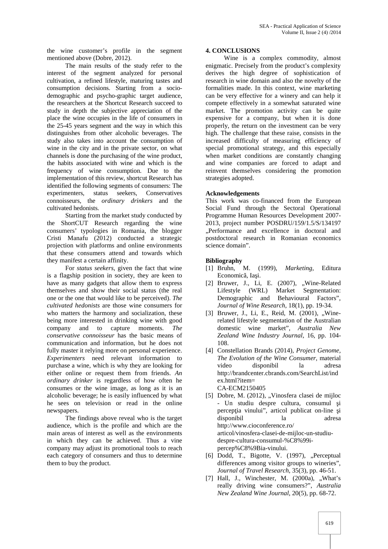the wine customer's profile in the segment mentioned above (Dobre, 2012).

The main results of the study refer to the interest of the segment analyzed for personal cultivation, a refined lifestyle, maturing tastes and consumption decisions. Starting from a socio demographic and psycho-graphic target audience, the researchers at the Shortcut Research succeed to study in depth the subjective appreciation of the place the wine occupies in the life of consumers in the 25-45 years segment and the way in which this distinguishes from other alcoholic beverages. The study also takes into account the consumption of wine in the city and in the private sector, on what channels is done the purchasing of the wine product, the habits associated with wine and which is the frequency of wine consumption. Due to the implementation of this review, shortcut Research has identified the following segments of consumers: The experimenters, status seekers, Conservatives connoisseurs, the *ordinary drinkers* and the cultivated hedonists.

Starting from the market study conducted by the ShortCUT Research regarding the wine consumers' typologies in Romania, the blogger Cristi Manafu (2012) conducted a strategic projection with platforms and online environments that these consumers attend and towards which they manifest a certain affinity.

For *status seekers*, given the fact that wine is a flagship position in society, they are keen to have as many gadgets that allow them to express themselves and show their social status (the real one or the one that would like to be perceived). *The cultivated hedonists* are those wine consumers for who matters the harmony and socialization, these being more interested in drinking wine with good company and to capture moments. *The conservative connoisseur* has the basic means of communication and information, but he does not fully master it relying more on personal experience. *Experimenters* need relevant information to purchase a wine, which is why they are looking for either online or request them from friends. *An ordinary drinker* is regardless of how often he consumes or the wine image, as long as it is an alcoholic beverage; he is easily influenced by what he sees on television or read in the online newspapers.

The findings above reveal who is the target audience, which is the profile and which are the main areas of interest as well as the environments in which they can be achieved. Thus a vine company may adjust its promotional tools to reach each category of consumers and thus to determine them to buy the product.

#### **4. CONCLUSIONS**

Wine is a complex commodity, almost enigmatic. Precisely from the product's complexity derives the high degree of sophistication of research in wine domain and also the novelty of the formalities made. In this context, wine marketing can be very effective for a winery and can help it compete effectively in a somewhat saturated wine market. The promotion activity can be quite expensive for a company, but when it is done properly, the return on the investment can be very high. The challenge that these raise, consists in the increased difficulty of measuring efficiency of special promotional strategy, and this especially when market conditions are constantly changing and wine companies are forced to adapt and reinvent themselves considering the promotion strategies adopted.

## **Acknowledgements**

This work was co-financed from the European Social Fund through the Sectoral Operational Programme Human Resources Development 2007- 2013, project number POSDRU/159/1.5/S/134197 "Performance and excellence in doctoral and postdoctoral research in Romanian economics science domain".

## **Bibliography**

- [1] Bruhn, M. (1999), *Marketing,* Editura Economic, Ia i.
- [2] Bruwer, J., Li, E. (2007), "Wine-Related Lifestyle (WRL) Market Segmentation: Demographic and Behavioural Factors", *Journal of Wine Research*, 18(1), pp. 19-34.
- [3] Bruwer, J., Li, E., Reid, M. (2001), "Winerelated lifestyle segmentation of the Australian domestic wine market", *Australia New Zealand Wine Industry Journal*, 16, pp. 104- 108.
- [4] Constellation Brands (2014), *Project Genome, The Evolution of the Wine Consumer,* material video disponibil la adresa http://brandcenter.cbrands.com/SearchList/ind ex.html?item= CA-ECM2150405
- [5] Dobre, M. (2012), "Vinosfera clasei de mijloc - Un studiu despre cultura, consumul i percep ia vinului", articol publicat on-line i disponibil la adresa http://www.cioconference.ro/ articol/vinosfera-clasei-de-mijloc-un-studiu despre-cultura-consumul-%C8%99i percep%C8%9Bia-vinului.
- [6] Dodd, T., Bigotte, V. (1997), "Perceptual differences among visitor groups to wineries", *Journal of Travel Research*, 35(3), pp. 46-51.
- [7] Hall, J., Winchester, M.  $(2000a)$ , "What's really driving wine consumers?", *Australia New Zealand Wine Journal*, 20(5), pp. 68-72.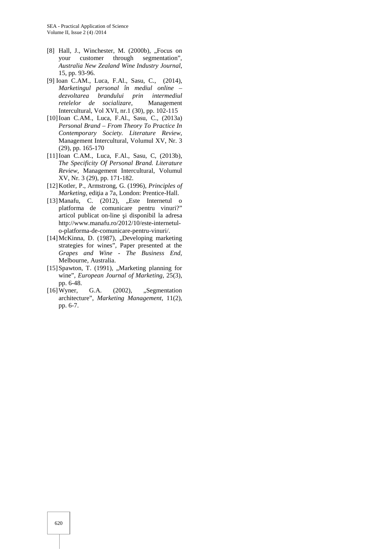- [8] Hall, J., Winchester, M.  $(2000b)$ , "Focus on your customer through segmentation", *Australia New Zealand Wine Industry Journal*, 15, pp. 93-96.
- [9] Ioan C.AM., Luca, F.Al., Sasu, C., (2014), *Marketingul personal în mediul online – dezvoltarea brandului prin intermediul*  $r$ etelelor de socializare, Intercultural, Vol XVI, nr.1 (30), pp. 102-115
- [10]Ioan C.AM., Luca, F.Al., Sasu, C., (2013a) *Personal Brand – From Theory To Practice In Contemporary Society. Literature Review*, Management Intercultural, Volumul XV, Nr. 3 (29), pp. 165-170
- [11]Ioan C.AM., Luca, F.Al., Sasu, C, (2013b), *The Specificity Of Personal Brand. Literature Review*, Management Intercultural, Volumul XV, Nr. 3 (29), pp. 171-182.
- [12]Kotler, P., Armstrong, G. (1996), *Principles of Marketing*, edi ia a 7a, London: Prentice-Hall.
- [13] Manafu, C.  $(2012)$ , "Este Internetul o platforma de comunicare pentru vinuri?" articol publicat on-line i disponibil la adresa http://www.manafu.ro/2012/10/este-internetul o-platforma-de-comunicare-pentru-vinuri/.
- [14]McKinna, D. (1987), "Developing marketing strategies for wines", Paper presented at the *Grapes and Wine - The Business End*, Melbourne, Australia.
- $[15]$ Spawton, T. (1991), "Marketing planning for wine", *European Journal of Marketing*, 25(3), pp. 6-48.
- $[16]$ Wyner, G.A.  $(2002)$ , "Segmentation architecture", *Marketing Management*, 11(2), pp. 6-7.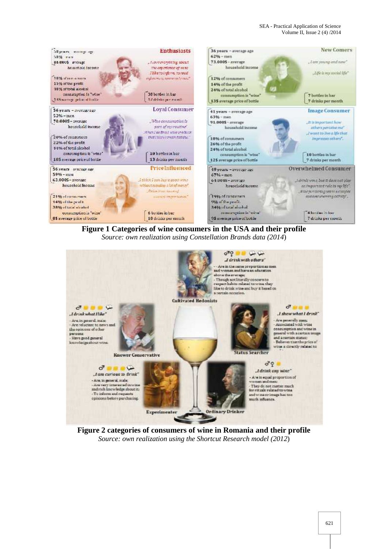

**Figure 1 Categories of wine consumers in the USA and their profile** *Source: own realization using Constellation Brands data (2014*)



**Figure 2 categories of consumers of wine in Romania and their profile** *Source: own realization using the Shortcut Research model (2012*)